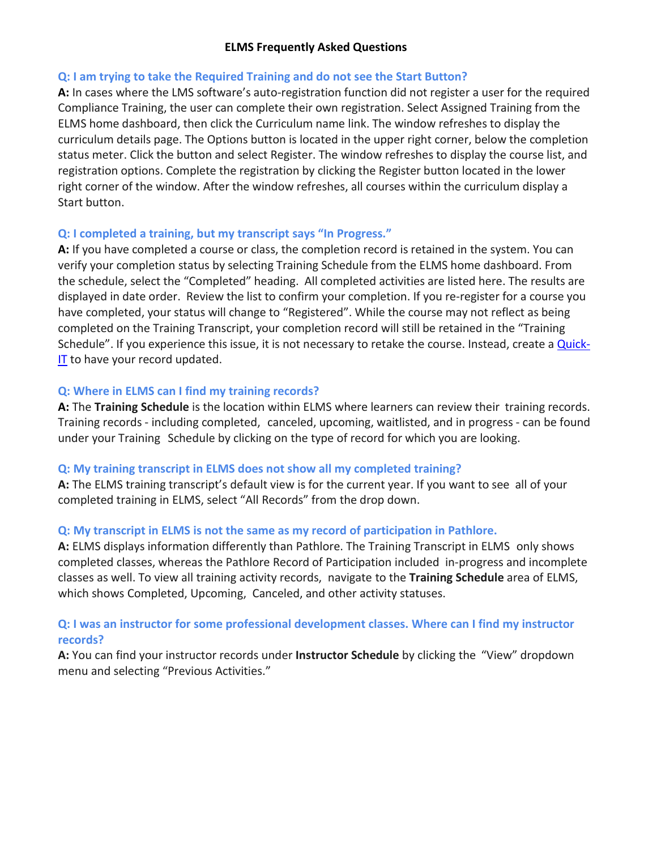### **ELMS Frequently Asked Questions**

#### **Q: I am trying to take the Required Training and do not see the Start Button?**

**A:** In cases where the LMS software's auto-registration function did not register a user for the required Compliance Training, the user can complete their own registration. Select Assigned Training from the ELMS home dashboard, then click the Curriculum name link. The window refreshes to display the curriculum details page. The Options button is located in the upper right corner, below the completion status meter. Click the button and select Register. The window refreshes to display the course list, and registration options. Complete the registration by clicking the Register button located in the lower right corner of the window. After the window refreshes, all courses within the curriculum display a Start button.

### **Q: I completed a training, but my transcript says "In Progress."**

**A:** If you have completed a course or class, the completion record is retained in the system. You can verify your completion status by selecting Training Schedule from the ELMS home dashboard. From the schedule, select the "Completed" heading. All completed activities are listed here. The results are displayed in date order. Review the list to confirm your completion. If you re-register for a course you have completed, your status will change to "Registered". While the course may not reflect as being completed on the Training Transcript, your completion record will still be retained in the "Training Schedule". If you experience this issue, it is not necessary to retake the course. Instead, create a [Quick-](https://quickit.ccsd.net/)[IT](https://quickit.ccsd.net/) to have your record updated.

### **Q: Where in ELMS can I find my training records?**

**A:** The **Training Schedule** is the location within ELMS where learners can review their training records. Training records - including completed, canceled, upcoming, waitlisted, and in progress - can be found under your Training Schedule by clicking on the type of record for which you are looking.

# **Q: My training transcript in ELMS does not show all my completed training?**

**A:** The ELMS training transcript's default view is for the current year. If you want to see all of your completed training in ELMS, select "All Records" from the drop down.

# **Q: My transcript in ELMS is not the same as my record of participation in Pathlore.**

**A:** ELMS displays information differently than Pathlore. The Training Transcript in ELMS only shows completed classes, whereas the Pathlore Record of Participation included in-progress and incomplete classes as well. To view all training activity records, navigate to the **Training Schedule** area of ELMS, which shows Completed, Upcoming, Canceled, and other activity statuses.

# **Q: I was an instructor for some professional development classes. Where can I find my instructor records?**

**A:** You can find your instructor records under **Instructor Schedule** by clicking the "View" dropdown menu and selecting "Previous Activities."